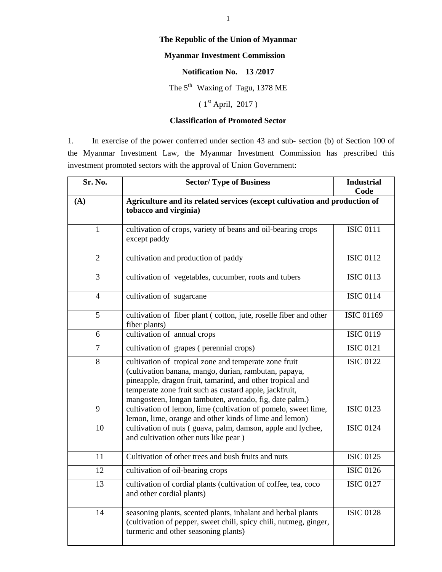## **The Republic of the Union of Myanmar**

## **Myanmar Investment Commission**

## **Notification No. 13 /2017**

The  $5<sup>th</sup>$  Waxing of Tagu, 1378 ME

 $(1<sup>st</sup> April, 2017)$ 

## **Classification of Promoted Sector**

1. In exercise of the power conferred under section 43 and sub- section (b) of Section 100 of the Myanmar Investment Law, the Myanmar Investment Commission has prescribed this investment promoted sectors with the approval of Union Government:

| Sr. No. |                | <b>Sector/Type of Business</b>                                                                                                                                                                                                                                                                  | <b>Industrial</b><br>Code |
|---------|----------------|-------------------------------------------------------------------------------------------------------------------------------------------------------------------------------------------------------------------------------------------------------------------------------------------------|---------------------------|
| (A)     |                | Agriculture and its related services (except cultivation and production of<br>tobacco and virginia)                                                                                                                                                                                             |                           |
|         | $\mathbf{1}$   | cultivation of crops, variety of beans and oil-bearing crops<br>except paddy                                                                                                                                                                                                                    | <b>ISIC 0111</b>          |
|         | $\overline{2}$ | cultivation and production of paddy                                                                                                                                                                                                                                                             | <b>ISIC 0112</b>          |
|         | 3              | cultivation of vegetables, cucumber, roots and tubers                                                                                                                                                                                                                                           | <b>ISIC 0113</b>          |
|         | $\overline{4}$ | cultivation of sugarcane                                                                                                                                                                                                                                                                        | <b>ISIC 0114</b>          |
|         | 5              | cultivation of fiber plant (cotton, jute, roselle fiber and other<br>fiber plants)                                                                                                                                                                                                              | <b>ISIC 01169</b>         |
|         | 6              | cultivation of annual crops                                                                                                                                                                                                                                                                     | <b>ISIC 0119</b>          |
|         | $\overline{7}$ | cultivation of grapes (perennial crops)                                                                                                                                                                                                                                                         | <b>ISIC 0121</b>          |
|         | 8              | cultivation of tropical zone and temperate zone fruit<br>(cultivation banana, mango, durian, rambutan, papaya,<br>pineapple, dragon fruit, tamarind, and other tropical and<br>temperate zone fruit such as custard apple, jackfruit,<br>mangosteen, longan tambuten, avocado, fig, date palm.) | <b>ISIC 0122</b>          |
|         | 9              | cultivation of lemon, lime (cultivation of pomelo, sweet lime,<br>lemon, lime, orange and other kinds of lime and lemon)                                                                                                                                                                        | <b>ISIC 0123</b>          |
|         | 10             | cultivation of nuts (guava, palm, damson, apple and lychee,<br>and cultivation other nuts like pear )                                                                                                                                                                                           | <b>ISIC 0124</b>          |
|         | 11             | Cultivation of other trees and bush fruits and nuts                                                                                                                                                                                                                                             | <b>ISIC 0125</b>          |
|         | 12             | cultivation of oil-bearing crops                                                                                                                                                                                                                                                                | <b>ISIC 0126</b>          |
|         | 13             | cultivation of cordial plants (cultivation of coffee, tea, coco<br>and other cordial plants)                                                                                                                                                                                                    | <b>ISIC 0127</b>          |
|         | 14             | seasoning plants, scented plants, inhalant and herbal plants<br>(cultivation of pepper, sweet chili, spicy chili, nutmeg, ginger,<br>turmeric and other seasoning plants)                                                                                                                       | <b>ISIC 0128</b>          |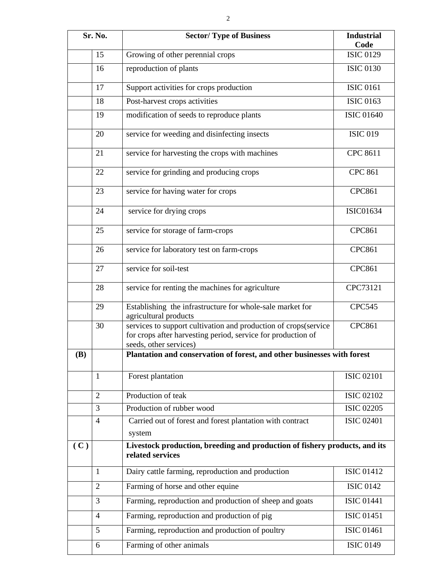|     | Sr. No.        | <b>Sector/Type of Business</b>                                                                                                                            | <b>Industrial</b><br>Code |
|-----|----------------|-----------------------------------------------------------------------------------------------------------------------------------------------------------|---------------------------|
|     | 15             | Growing of other perennial crops                                                                                                                          | <b>ISIC 0129</b>          |
|     | 16             | reproduction of plants                                                                                                                                    | <b>ISIC 0130</b>          |
|     | 17             | Support activities for crops production                                                                                                                   | <b>ISIC 0161</b>          |
|     | 18             | Post-harvest crops activities                                                                                                                             | <b>ISIC 0163</b>          |
|     | 19             | modification of seeds to reproduce plants                                                                                                                 | <b>ISIC 01640</b>         |
|     | 20             | service for weeding and disinfecting insects                                                                                                              | <b>ISIC 019</b>           |
|     | 21             | service for harvesting the crops with machines                                                                                                            | CPC 8611                  |
|     | 22             | service for grinding and producing crops                                                                                                                  | <b>CPC 861</b>            |
|     | 23             | service for having water for crops                                                                                                                        | <b>CPC861</b>             |
|     | 24             | service for drying crops                                                                                                                                  | <b>ISIC01634</b>          |
|     | 25             | service for storage of farm-crops                                                                                                                         | <b>CPC861</b>             |
|     | 26             | service for laboratory test on farm-crops                                                                                                                 | <b>CPC861</b>             |
|     | 27             | service for soil-test                                                                                                                                     | <b>CPC861</b>             |
|     | 28             | service for renting the machines for agriculture                                                                                                          | CPC73121                  |
|     | 29             | Establishing the infrastructure for whole-sale market for<br>agricultural products                                                                        | <b>CPC545</b>             |
|     | 30             | services to support cultivation and production of crops(service<br>for crops after harvesting period, service for production of<br>seeds, other services) | <b>CPC861</b>             |
| (B) |                | Plantation and conservation of forest, and other businesses with forest                                                                                   |                           |
|     | $\mathbf{1}$   | Forest plantation                                                                                                                                         | <b>ISIC 02101</b>         |
|     | $\overline{2}$ | Production of teak                                                                                                                                        | <b>ISIC 02102</b>         |
|     | 3              | Production of rubber wood                                                                                                                                 | <b>ISIC 02205</b>         |
|     | $\overline{4}$ | Carried out of forest and forest plantation with contract                                                                                                 | <b>ISIC 02401</b>         |
|     |                | system                                                                                                                                                    |                           |
| (C) |                | Livestock production, breeding and production of fishery products, and its<br>related services                                                            |                           |
|     | $\mathbf{1}$   | Dairy cattle farming, reproduction and production                                                                                                         | <b>ISIC 01412</b>         |
|     | $\overline{2}$ | Farming of horse and other equine                                                                                                                         | <b>ISIC 0142</b>          |
|     | 3              | Farming, reproduction and production of sheep and goats                                                                                                   | <b>ISIC 01441</b>         |
|     | $\overline{4}$ | Farming, reproduction and production of pig                                                                                                               | <b>ISIC 01451</b>         |
|     | 5              | Farming, reproduction and production of poultry                                                                                                           | <b>ISIC 01461</b>         |
|     | 6              | Farming of other animals                                                                                                                                  | <b>ISIC 0149</b>          |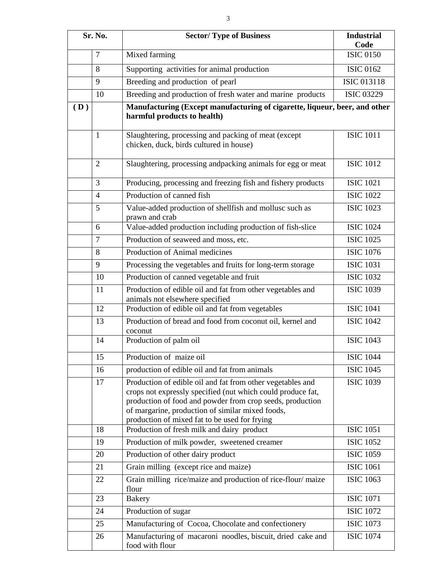| Sr. No. |                | <b>Sector/Type of Business</b>                                                                                                                                                                                                                                                              | <b>Industrial</b><br>Code |
|---------|----------------|---------------------------------------------------------------------------------------------------------------------------------------------------------------------------------------------------------------------------------------------------------------------------------------------|---------------------------|
|         | $\overline{7}$ | Mixed farming                                                                                                                                                                                                                                                                               | <b>ISIC 0150</b>          |
|         | 8              | Supporting activities for animal production                                                                                                                                                                                                                                                 | <b>ISIC 0162</b>          |
|         | 9              | Breeding and production of pearl                                                                                                                                                                                                                                                            | <b>ISIC 013118</b>        |
|         | 10             | Breeding and production of fresh water and marine products                                                                                                                                                                                                                                  | <b>ISIC 03229</b>         |
| (D)     |                | Manufacturing (Except manufacturing of cigarette, liqueur, beer, and other<br>harmful products to health)                                                                                                                                                                                   |                           |
|         | $\mathbf{1}$   | Slaughtering, processing and packing of meat (except<br>chicken, duck, birds cultured in house)                                                                                                                                                                                             | <b>ISIC 1011</b>          |
|         | $\overline{2}$ | Slaughtering, processing andpacking animals for egg or meat                                                                                                                                                                                                                                 | <b>ISIC 1012</b>          |
|         | 3              | Producing, processing and freezing fish and fishery products                                                                                                                                                                                                                                | <b>ISIC 1021</b>          |
|         | $\overline{4}$ | Production of canned fish                                                                                                                                                                                                                                                                   | <b>ISIC 1022</b>          |
|         | 5              | Value-added production of shellfish and mollusc such as<br>prawn and crab                                                                                                                                                                                                                   | <b>ISIC 1023</b>          |
|         | 6              | Value-added production including production of fish-slice                                                                                                                                                                                                                                   | <b>ISIC 1024</b>          |
|         | $\overline{7}$ | Production of seaweed and moss, etc.                                                                                                                                                                                                                                                        | <b>ISIC 1025</b>          |
|         | 8              | Production of Animal medicines                                                                                                                                                                                                                                                              | <b>ISIC 1076</b>          |
|         | 9              | Processing the vegetables and fruits for long-term storage                                                                                                                                                                                                                                  | <b>ISIC 1031</b>          |
|         | 10             | Production of canned vegetable and fruit                                                                                                                                                                                                                                                    | <b>ISIC 1032</b>          |
|         | 11             | Production of edible oil and fat from other vegetables and<br>animals not elsewhere specified                                                                                                                                                                                               | <b>ISIC 1039</b>          |
|         | 12             | Production of edible oil and fat from vegetables                                                                                                                                                                                                                                            | <b>ISIC 1041</b>          |
|         | 13             | Production of bread and food from coconut oil, kernel and<br>coconut                                                                                                                                                                                                                        | <b>ISIC 1042</b>          |
|         | 14             | Production of palm oil                                                                                                                                                                                                                                                                      | <b>ISIC 1043</b>          |
|         | 15             | Production of maize oil                                                                                                                                                                                                                                                                     | <b>ISIC 1044</b>          |
|         | 16             | production of edible oil and fat from animals                                                                                                                                                                                                                                               | <b>ISIC 1045</b>          |
|         | 17             | Production of edible oil and fat from other vegetables and<br>crops not expressly specified (nut which could produce fat,<br>production of food and powder from crop seeds, production<br>of margarine, production of similar mixed foods,<br>production of mixed fat to be used for frying | <b>ISIC 1039</b>          |
|         | 18             | Production of fresh milk and dairy product                                                                                                                                                                                                                                                  | <b>ISIC 1051</b>          |
|         | 19             | Production of milk powder, sweetened creamer                                                                                                                                                                                                                                                | <b>ISIC 1052</b>          |
|         | 20             | Production of other dairy product                                                                                                                                                                                                                                                           | <b>ISIC 1059</b>          |
|         | 21             | Grain milling (except rice and maize)                                                                                                                                                                                                                                                       | <b>ISIC 1061</b>          |
|         | 22             | Grain milling rice/maize and production of rice-flour/ maize<br>flour                                                                                                                                                                                                                       | <b>ISIC 1063</b>          |
|         | 23             | <b>Bakery</b>                                                                                                                                                                                                                                                                               | <b>ISIC 1071</b>          |
|         | 24             | Production of sugar                                                                                                                                                                                                                                                                         | <b>ISIC 1072</b>          |
|         | 25             | Manufacturing of Cocoa, Chocolate and confectionery                                                                                                                                                                                                                                         | <b>ISIC 1073</b>          |
|         | 26             | Manufacturing of macaroni noodles, biscuit, dried cake and<br>food with flour                                                                                                                                                                                                               | <b>ISIC 1074</b>          |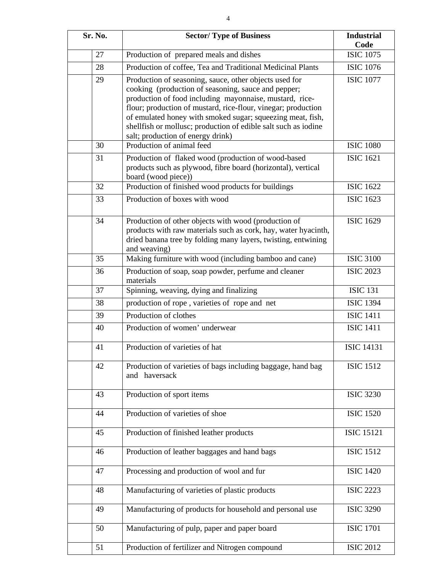| Sr. No. | <b>Sector/Type of Business</b>                                                                                                                                                                                                                                                                                                                                                                                 | <b>Industrial</b><br>Code |  |
|---------|----------------------------------------------------------------------------------------------------------------------------------------------------------------------------------------------------------------------------------------------------------------------------------------------------------------------------------------------------------------------------------------------------------------|---------------------------|--|
| 27      | Production of prepared meals and dishes                                                                                                                                                                                                                                                                                                                                                                        | <b>ISIC 1075</b>          |  |
| 28      | Production of coffee, Tea and Traditional Medicinal Plants                                                                                                                                                                                                                                                                                                                                                     | <b>ISIC 1076</b>          |  |
| 29      | Production of seasoning, sauce, other objects used for<br>cooking (production of seasoning, sauce and pepper;<br>production of food including mayonnaise, mustard, rice-<br>flour; production of mustard, rice-flour, vinegar; production<br>of emulated honey with smoked sugar; squeezing meat, fish,<br>shellfish or mollusc; production of edible salt such as iodine<br>salt; production of energy drink) | <b>ISIC 1077</b>          |  |
| 30      | Production of animal feed                                                                                                                                                                                                                                                                                                                                                                                      | <b>ISIC 1080</b>          |  |
| 31      | Production of flaked wood (production of wood-based<br>products such as plywood, fibre board (horizontal), vertical<br>board (wood piece))                                                                                                                                                                                                                                                                     | <b>ISIC 1621</b>          |  |
| 32      | Production of finished wood products for buildings                                                                                                                                                                                                                                                                                                                                                             | <b>ISIC 1622</b>          |  |
| 33      | Production of boxes with wood                                                                                                                                                                                                                                                                                                                                                                                  | <b>ISIC 1623</b>          |  |
| 34      | Production of other objects with wood (production of<br>products with raw materials such as cork, hay, water hyacinth,<br>dried banana tree by folding many layers, twisting, entwining<br>and weaving)                                                                                                                                                                                                        | <b>ISIC 1629</b>          |  |
| 35      | Making furniture with wood (including bamboo and cane)                                                                                                                                                                                                                                                                                                                                                         | <b>ISIC 3100</b>          |  |
| 36      | Production of soap, soap powder, perfume and cleaner<br>materials                                                                                                                                                                                                                                                                                                                                              | <b>ISIC 2023</b>          |  |
| 37      | Spinning, weaving, dying and finalizing                                                                                                                                                                                                                                                                                                                                                                        | <b>ISIC 131</b>           |  |
| 38      | production of rope, varieties of rope and net                                                                                                                                                                                                                                                                                                                                                                  | <b>ISIC 1394</b>          |  |
| 39      | Production of clothes                                                                                                                                                                                                                                                                                                                                                                                          | ISIC $14\overline{11}$    |  |
| 40      | Production of women' underwear                                                                                                                                                                                                                                                                                                                                                                                 | <b>ISIC 1411</b>          |  |
| 41      | Production of varieties of hat                                                                                                                                                                                                                                                                                                                                                                                 | <b>ISIC 14131</b>         |  |
| 42      | Production of varieties of bags including baggage, hand bag<br>and haversack                                                                                                                                                                                                                                                                                                                                   | <b>ISIC 1512</b>          |  |
| 43      | Production of sport items                                                                                                                                                                                                                                                                                                                                                                                      | <b>ISIC 3230</b>          |  |
| 44      | Production of varieties of shoe                                                                                                                                                                                                                                                                                                                                                                                | <b>ISIC 1520</b>          |  |
| 45      | Production of finished leather products                                                                                                                                                                                                                                                                                                                                                                        | <b>ISIC 15121</b>         |  |
| 46      | Production of leather baggages and hand bags                                                                                                                                                                                                                                                                                                                                                                   | <b>ISIC 1512</b>          |  |
| 47      | Processing and production of wool and fur                                                                                                                                                                                                                                                                                                                                                                      | <b>ISIC 1420</b>          |  |
| 48      | Manufacturing of varieties of plastic products                                                                                                                                                                                                                                                                                                                                                                 | <b>ISIC 2223</b>          |  |
| 49      | Manufacturing of products for household and personal use                                                                                                                                                                                                                                                                                                                                                       | <b>ISIC 3290</b>          |  |
| 50      | Manufacturing of pulp, paper and paper board                                                                                                                                                                                                                                                                                                                                                                   | <b>ISIC 1701</b>          |  |
| 51      | Production of fertilizer and Nitrogen compound                                                                                                                                                                                                                                                                                                                                                                 | <b>ISIC 2012</b>          |  |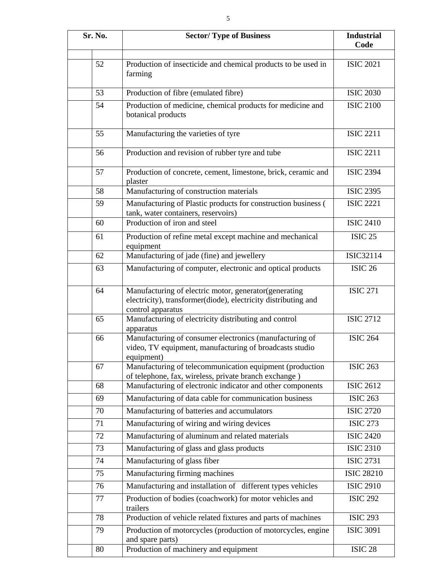| Sr. No. | <b>Sector/Type of Business</b>                                                                                                               | <b>Industrial</b><br>Code |
|---------|----------------------------------------------------------------------------------------------------------------------------------------------|---------------------------|
|         |                                                                                                                                              |                           |
| 52      | Production of insecticide and chemical products to be used in<br>farming                                                                     | <b>ISIC 2021</b>          |
| 53      | Production of fibre (emulated fibre)                                                                                                         | <b>ISIC 2030</b>          |
| 54      | Production of medicine, chemical products for medicine and<br>botanical products                                                             | <b>ISIC 2100</b>          |
| 55      | Manufacturing the varieties of tyre                                                                                                          | <b>ISIC 2211</b>          |
| 56      | Production and revision of rubber tyre and tube                                                                                              | <b>ISIC 2211</b>          |
| 57      | Production of concrete, cement, limestone, brick, ceramic and<br>plaster                                                                     | <b>ISIC 2394</b>          |
| 58      | Manufacturing of construction materials                                                                                                      | <b>ISIC 2395</b>          |
| 59      | Manufacturing of Plastic products for construction business (<br>tank, water containers, reservoirs)                                         | <b>ISIC 2221</b>          |
| 60      | Production of iron and steel                                                                                                                 | <b>ISIC 2410</b>          |
| 61      | Production of refine metal except machine and mechanical<br>equipment                                                                        | <b>ISIC 25</b>            |
| 62      | Manufacturing of jade (fine) and jewellery                                                                                                   | <b>ISIC32114</b>          |
| 63      | Manufacturing of computer, electronic and optical products                                                                                   | ISIC <sub>26</sub>        |
| 64      | Manufacturing of electric motor, generator(generating<br>electricity), transformer(diode), electricity distributing and<br>control apparatus | <b>ISIC 271</b>           |
| 65      | Manufacturing of electricity distributing and control<br>apparatus                                                                           | <b>ISIC 2712</b>          |
| 66      | Manufacturing of consumer electronics (manufacturing of<br>video, TV equipment, manufacturing of broadcasts studio<br>equipment)             | <b>ISIC 264</b>           |
| 67      | Manufacturing of telecommunication equipment (production<br>of telephone, fax, wireless, private branch exchange)                            | <b>ISIC 263</b>           |
| 68      | Manufacturing of electronic indicator and other components                                                                                   | <b>ISIC 2612</b>          |
| 69      | Manufacturing of data cable for communication business                                                                                       | <b>ISIC 263</b>           |
| 70      | Manufacturing of batteries and accumulators                                                                                                  | <b>ISIC 2720</b>          |
| 71      | Manufacturing of wiring and wiring devices                                                                                                   | <b>ISIC 273</b>           |
| 72      | Manufacturing of aluminum and related materials                                                                                              | <b>ISIC 2420</b>          |
| 73      | Manufacturing of glass and glass products                                                                                                    | <b>ISIC 2310</b>          |
| 74      | Manufacturing of glass fiber                                                                                                                 | <b>ISIC 2731</b>          |
| 75      | Manufacturing firming machines                                                                                                               | <b>ISIC 28210</b>         |
| 76      | Manufacturing and installation of different types vehicles                                                                                   | <b>ISIC 2910</b>          |
| 77      | Production of bodies (coachwork) for motor vehicles and<br>trailers                                                                          | <b>ISIC 292</b>           |
| 78      | Production of vehicle related fixtures and parts of machines                                                                                 | <b>ISIC 293</b>           |
| 79      | Production of motorcycles (production of motorcycles, engine<br>and spare parts)                                                             | <b>ISIC 3091</b>          |

80 Production of machinery and equipment ISIC 28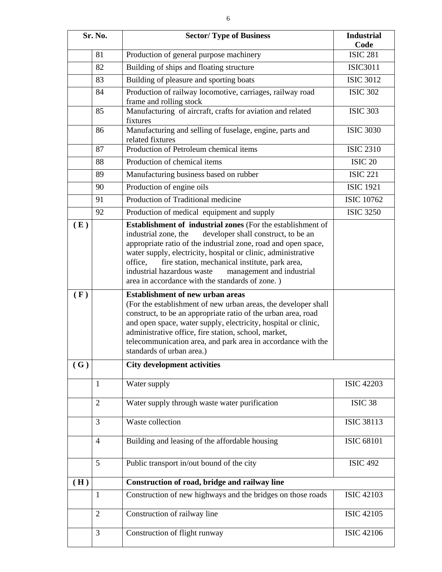| Sr. No. |                | <b>Sector/Type of Business</b>                                                                                                                                                                                                                                                                                                                                                                                                                  | <b>Industrial</b>       |
|---------|----------------|-------------------------------------------------------------------------------------------------------------------------------------------------------------------------------------------------------------------------------------------------------------------------------------------------------------------------------------------------------------------------------------------------------------------------------------------------|-------------------------|
|         | 81             | Production of general purpose machinery                                                                                                                                                                                                                                                                                                                                                                                                         | Code<br><b>ISIC 281</b> |
|         | 82             | Building of ships and floating structure                                                                                                                                                                                                                                                                                                                                                                                                        | <b>ISIC3011</b>         |
|         | 83             | Building of pleasure and sporting boats                                                                                                                                                                                                                                                                                                                                                                                                         | <b>ISIC 3012</b>        |
|         | 84             |                                                                                                                                                                                                                                                                                                                                                                                                                                                 | <b>ISIC 302</b>         |
|         |                | Production of railway locomotive, carriages, railway road<br>frame and rolling stock                                                                                                                                                                                                                                                                                                                                                            |                         |
|         | 85             | Manufacturing of aircraft, crafts for aviation and related<br>fixtures                                                                                                                                                                                                                                                                                                                                                                          | <b>ISIC 303</b>         |
|         | 86             | Manufacturing and selling of fuselage, engine, parts and<br>related fixtures                                                                                                                                                                                                                                                                                                                                                                    | <b>ISIC 3030</b>        |
|         | 87             | Production of Petroleum chemical items                                                                                                                                                                                                                                                                                                                                                                                                          | <b>ISIC 2310</b>        |
|         | 88             | Production of chemical items                                                                                                                                                                                                                                                                                                                                                                                                                    | <b>ISIC 20</b>          |
|         | 89             | Manufacturing business based on rubber                                                                                                                                                                                                                                                                                                                                                                                                          | <b>ISIC 221</b>         |
|         | 90             | Production of engine oils                                                                                                                                                                                                                                                                                                                                                                                                                       | <b>ISIC 1921</b>        |
|         | 91             | Production of Traditional medicine                                                                                                                                                                                                                                                                                                                                                                                                              | <b>ISIC 10762</b>       |
|         | 92             | Production of medical equipment and supply                                                                                                                                                                                                                                                                                                                                                                                                      | <b>ISIC 3250</b>        |
| (E)     |                | <b>Establishment of industrial zones</b> (For the establishment of<br>industrial zone, the<br>developer shall construct, to be an<br>appropriate ratio of the industrial zone, road and open space,<br>water supply, electricity, hospital or clinic, administrative<br>fire station, mechanical institute, park area,<br>office,<br>industrial hazardous waste<br>management and industrial<br>area in accordance with the standards of zone.) |                         |
| (F)     |                | <b>Establishment of new urban areas</b><br>(For the establishment of new urban areas, the developer shall<br>construct, to be an appropriate ratio of the urban area, road<br>and open space, water supply, electricity, hospital or clinic,<br>administrative office, fire station, school, market,<br>telecommunication area, and park area in accordance with the<br>standards of urban area.)                                               |                         |
| (G)     |                | <b>City development activities</b>                                                                                                                                                                                                                                                                                                                                                                                                              |                         |
|         | $\mathbf{1}$   | Water supply                                                                                                                                                                                                                                                                                                                                                                                                                                    | <b>ISIC 42203</b>       |
|         | $\overline{2}$ | Water supply through waste water purification                                                                                                                                                                                                                                                                                                                                                                                                   | ISIC <sub>38</sub>      |
|         | 3              | Waste collection                                                                                                                                                                                                                                                                                                                                                                                                                                | <b>ISIC 38113</b>       |
|         | $\overline{4}$ | Building and leasing of the affordable housing                                                                                                                                                                                                                                                                                                                                                                                                  | <b>ISIC 68101</b>       |
|         | 5              | Public transport in/out bound of the city                                                                                                                                                                                                                                                                                                                                                                                                       | <b>ISIC 492</b>         |
| (H)     |                | Construction of road, bridge and railway line                                                                                                                                                                                                                                                                                                                                                                                                   |                         |
|         | 1              | Construction of new highways and the bridges on those roads                                                                                                                                                                                                                                                                                                                                                                                     | <b>ISIC 42103</b>       |
|         | $\overline{2}$ | Construction of railway line                                                                                                                                                                                                                                                                                                                                                                                                                    | <b>ISIC 42105</b>       |
|         | 3              | Construction of flight runway                                                                                                                                                                                                                                                                                                                                                                                                                   | <b>ISIC 42106</b>       |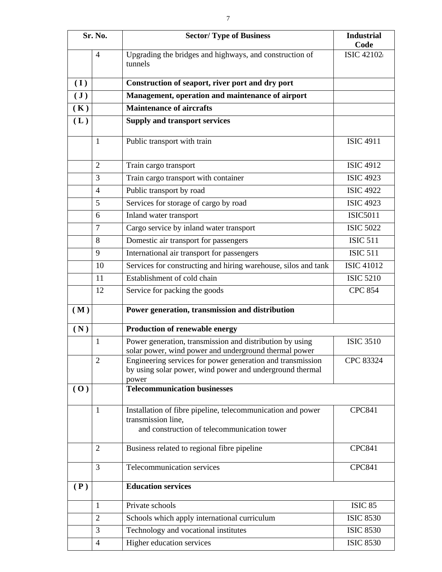| Sr. No.        |                | <b>Sector/Type of Business</b>                                                                                      | <b>Industrial</b><br>Code |
|----------------|----------------|---------------------------------------------------------------------------------------------------------------------|---------------------------|
|                | 4              | Upgrading the bridges and highways, and construction of<br>tunnels                                                  | <b>ISIC 42102</b>         |
| (I)            |                | Construction of seaport, river port and dry port                                                                    |                           |
| $(\mathbf{J})$ |                | Management, operation and maintenance of airport                                                                    |                           |
| (K)            |                | <b>Maintenance of aircrafts</b>                                                                                     |                           |
| (L)            |                | <b>Supply and transport services</b>                                                                                |                           |
|                | $\mathbf{1}$   | Public transport with train                                                                                         | <b>ISIC 4911</b>          |
|                | $\overline{2}$ | Train cargo transport                                                                                               | <b>ISIC 4912</b>          |
|                | 3              | Train cargo transport with container                                                                                | <b>ISIC 4923</b>          |
|                | $\overline{4}$ | Public transport by road                                                                                            | <b>ISIC 4922</b>          |
|                | 5              | Services for storage of cargo by road                                                                               | <b>ISIC 4923</b>          |
|                | 6              | Inland water transport                                                                                              | <b>ISIC5011</b>           |
|                | $\overline{7}$ | Cargo service by inland water transport                                                                             | <b>ISIC 5022</b>          |
|                | 8              | Domestic air transport for passengers                                                                               | <b>ISIC 511</b>           |
|                | 9              | International air transport for passengers                                                                          | <b>ISIC 511</b>           |
|                | 10             | Services for constructing and hiring warehouse, silos and tank                                                      | <b>ISIC 41012</b>         |
|                | 11             | Establishment of cold chain                                                                                         | <b>ISIC 5210</b>          |
|                | 12             | Service for packing the goods                                                                                       | <b>CPC 854</b>            |
| (M)            |                | Power generation, transmission and distribution                                                                     |                           |
| (N)            |                | Production of renewable energy                                                                                      |                           |
|                | 1              | Power generation, transmission and distribution by using                                                            | <b>ISIC 3510</b>          |
|                | $\overline{2}$ | solar power, wind power and underground thermal power<br>Engineering services for power generation and transmission | CPC 83324                 |
|                |                | by using solar power, wind power and underground thermal<br>power                                                   |                           |
| (0)            |                | <b>Telecommunication businesses</b>                                                                                 |                           |
|                |                |                                                                                                                     |                           |
|                | $\mathbf{1}$   | Installation of fibre pipeline, telecommunication and power                                                         | <b>CPC841</b>             |
|                |                | transmission line,<br>and construction of telecommunication tower                                                   |                           |
|                | $\overline{2}$ | Business related to regional fibre pipeline                                                                         | <b>CPC841</b>             |
|                | 3              | Telecommunication services                                                                                          | <b>CPC841</b>             |
| (P)            |                | <b>Education services</b>                                                                                           |                           |
|                | 1              | Private schools                                                                                                     | <b>ISIC 85</b>            |
|                | $\overline{2}$ | Schools which apply international curriculum                                                                        | <b>ISIC 8530</b>          |
|                | 3              | Technology and vocational institutes                                                                                | <b>ISIC 8530</b>          |
|                | $\overline{4}$ | Higher education services                                                                                           | <b>ISIC 8530</b>          |